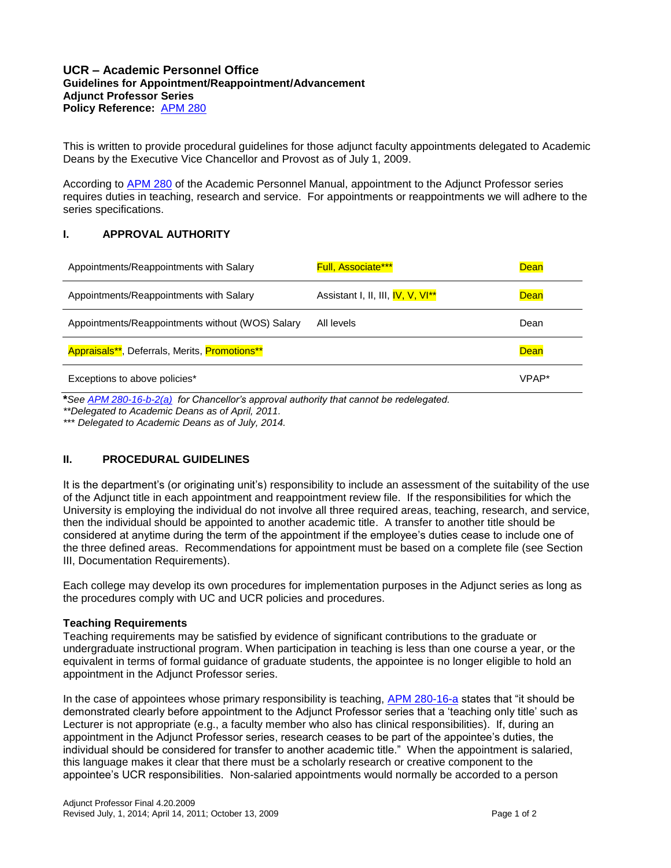## **UCR – Academic Personnel Office Guidelines for Appointment/Reappointment/Advancement Adjunct Professor Series Policy Reference:** [APM 280](http://www.ucop.edu/academic-personnel/_files/apm/apm-280.pdf)

This is written to provide procedural guidelines for those adjunct faculty appointments delegated to Academic Deans by the Executive Vice Chancellor and Provost as of July 1, 2009.

According to [APM 280](http://www.ucop.edu/academic-personnel/_files/apm/apm-280.pdf) of the Academic Personnel Manual, appointment to the Adjunct Professor series requires duties in teaching, research and service. For appointments or reappointments we will adhere to the series specifications.

# **I. APPROVAL AUTHORITY**

| Appointments/Reappointments with Salary          | <b>Full, Associate***</b>                     | <b>Dean</b> |
|--------------------------------------------------|-----------------------------------------------|-------------|
| Appointments/Reappointments with Salary          | Assistant I, II, III, IV, V, VI <sup>**</sup> | <b>Dean</b> |
| Appointments/Reappointments without (WOS) Salary | All levels                                    | Dean        |
| Appraisals**, Deferrals, Merits, Promotions**    |                                               | <b>Dean</b> |
| Exceptions to above policies*                    |                                               | VPAP*       |

**\****See [APM 280-16-b-2\(a\)](http://www.ucop.edu/academic-personnel/_files/apm/apm-280.pdf) for Chancellor's approval authority that cannot be redelegated. \*\*Delegated to Academic Deans as of April, 2011.*

*\*\*\* Delegated to Academic Deans as of July, 2014.*

# **II. PROCEDURAL GUIDELINES**

It is the department's (or originating unit's) responsibility to include an assessment of the suitability of the use of the Adjunct title in each appointment and reappointment review file. If the responsibilities for which the University is employing the individual do not involve all three required areas, teaching, research, and service, then the individual should be appointed to another academic title. A transfer to another title should be considered at anytime during the term of the appointment if the employee's duties cease to include one of the three defined areas. Recommendations for appointment must be based on a complete file (see Section III, Documentation Requirements).

Each college may develop its own procedures for implementation purposes in the Adjunct series as long as the procedures comply with UC and UCR policies and procedures.

#### **Teaching Requirements**

Teaching requirements may be satisfied by evidence of significant contributions to the graduate or undergraduate instructional program. When participation in teaching is less than one course a year, or the equivalent in terms of formal guidance of graduate students, the appointee is no longer eligible to hold an appointment in the Adjunct Professor series.

In the case of appointees whose primary responsibility is teaching, [APM 280-16-a](http://www.ucop.edu/academic-personnel/_files/apm/apm-280.pdf) states that "it should be demonstrated clearly before appointment to the Adjunct Professor series that a 'teaching only title' such as Lecturer is not appropriate (e.g., a faculty member who also has clinical responsibilities). If, during an appointment in the Adjunct Professor series, research ceases to be part of the appointee's duties, the individual should be considered for transfer to another academic title." When the appointment is salaried, this language makes it clear that there must be a scholarly research or creative component to the appointee's UCR responsibilities. Non-salaried appointments would normally be accorded to a person